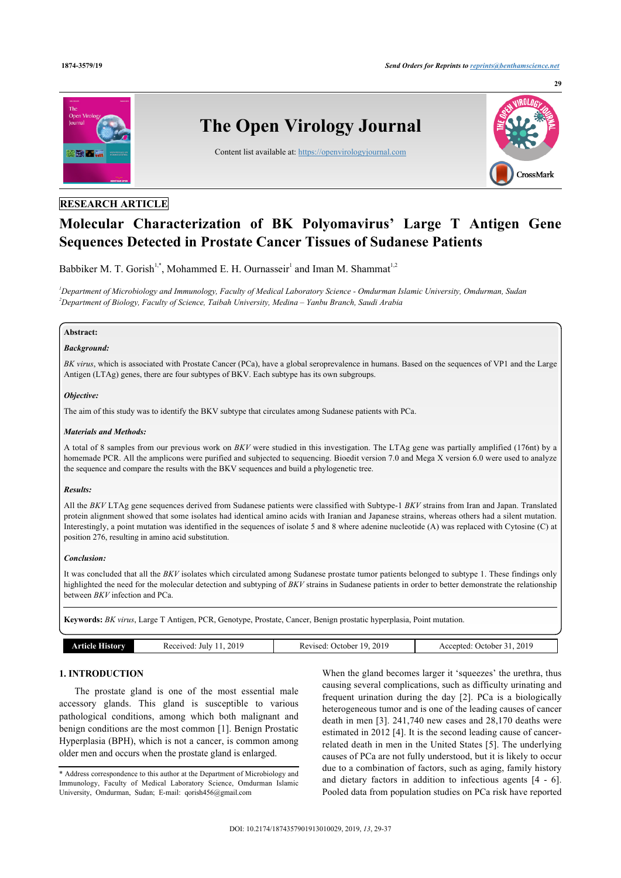

# **RESEARCH ARTICLE**

# **Molecular Characterization of BK Polyomavirus' Large T Antigen Gene Sequences Detected in Prostate Cancer Tissues of Sudanese Patients**

Babbiker M. T. Gorish<sup>[1](#page-0-0)[,\\*](#page-0-1)</sup>, Mohammed E. H. Ournasseir<sup>1</sup> and Iman M. Shammat<sup>1[,2](#page-0-2)</sup>

<span id="page-0-2"></span><span id="page-0-0"></span>*<sup>1</sup>Department of Microbiology and Immunology, Faculty of Medical Laboratory Science - Omdurman Islamic University, Omdurman, Sudan <sup>2</sup>Department of Biology, Faculty of Science, Taibah University, Medina – Yanbu Branch, Saudi Arabia*

# **Abstract:**

# *Background:*

*BK virus*, which is associated with Prostate Cancer (PCa), have a global seroprevalence in humans. Based on the sequences of VP1 and the Large Antigen (LTAg) genes, there are four subtypes of BKV. Each subtype has its own subgroups.

#### *Objective:*

The aim of this study was to identify the BKV subtype that circulates among Sudanese patients with PCa.

#### *Materials and Methods:*

A total of 8 samples from our previous work on *BKV* were studied in this investigation. The LTAg gene was partially amplified (176nt) by a homemade PCR. All the amplicons were purified and subjected to sequencing. Bioedit version 7.0 and Mega X version 6.0 were used to analyze the sequence and compare the results with the BKV sequences and build a phylogenetic tree.

#### *Results:*

All the *BKV* LTAg gene sequences derived from Sudanese patients were classified with Subtype-1 *BKV* strains from Iran and Japan. Translated protein alignment showed that some isolates had identical amino acids with Iranian and Japanese strains, whereas others had a silent mutation. Interestingly, a point mutation was identified in the sequences of isolate 5 and 8 where adenine nucleotide (A) was replaced with Cytosine (C) at position 276, resulting in amino acid substitution.

#### *Conclusion:*

It was concluded that all the *BKV* isolates which circulated among Sudanese prostate tumor patients belonged to subtype 1. These findings only highlighted the need for the molecular detection and subtyping of *BKV* strains in Sudanese patients in order to better demonstrate the relationship between *BKV* infection and PCa.

**Keywords:** *BK virus*, Large T Antigen, PCR, Genotype, Prostate, Cancer, Benign prostatic hyperplasia, Point mutation.

| 2019 | 2019     | 201c      |
|------|----------|-----------|
| lulv | October. | October . |
| 'CU  | l u      | eented    |
|      | 15CU     | $\alpha$  |
|      | rτ       |           |
| __   |          | .         |

# **1. INTRODUCTION**

The prostate gland is one of the most essential male accessory glands. This gland is susceptible to various pathological conditions, among which both malignant and benign conditions are the most common [[1\]](#page-7-0). Benign Prostatic Hyperplasia (BPH), which is not a cancer, is common among older men and occurs when the prostate gland is enlarged.

When the gland becomes larger it 'squeezes' the urethra, thus causing several complications, such as difficulty urinating and frequent urination during the day[[2](#page-7-1)]. PCa is a biologically heterogeneous tumor and is one of the leading causes of cancer death in men [[3](#page-7-2)]. 241,740 new cases and 28,170 deaths were estimated in 2012 [[4](#page-7-3)]. It is the second leading cause of cancerrelated death in men in the United States [[5](#page-7-4)]. The underlying causes of PCa are not fully understood, but it is likely to occur due to a combination of factors, such as aging, family history and dietary factors in addition to infectious agents[[4](#page-7-3) - [6](#page-7-5)]. Pooled data from population studies on PCa risk have reported

<span id="page-0-1"></span><sup>\*</sup> Address correspondence to this author at the Department of Microbiology and Immunology, Faculty of Medical Laboratory Science, Omdurman Islamic University, Omdurman, Sudan; E-mail: [qorish456@gmail.com](mailto:qorish456@gmail.com)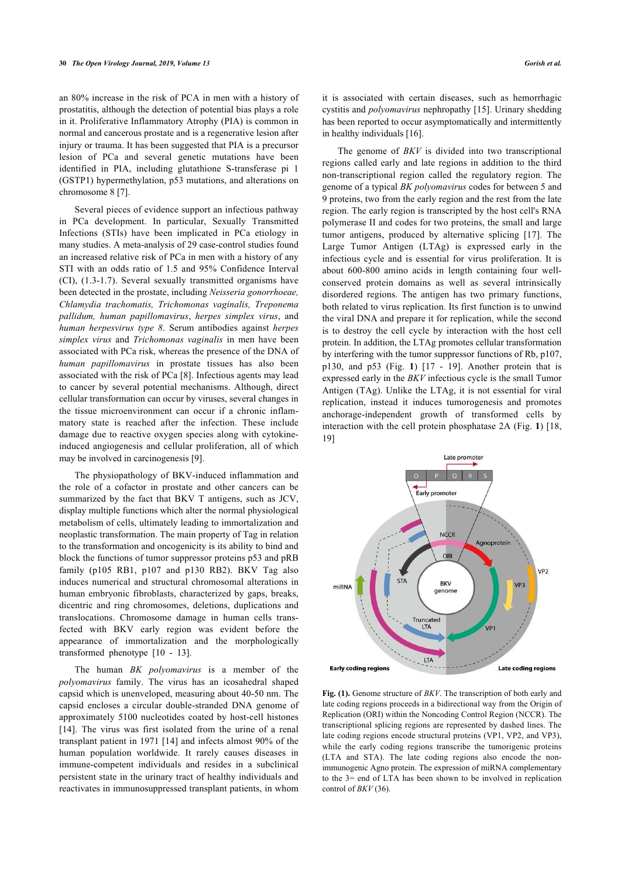an 80% increase in the risk of PCA in men with a history of prostatitis, although the detection of potential bias plays a role in it. Proliferative Inflammatory Atrophy (PIA) is common in normal and cancerous prostate and is a regenerative lesion after injury or trauma. It has been suggested that PIA is a precursor lesion of PCa and several genetic mutations have been identified in PIA, including glutathione S-transferase pi 1 (GSTP1) hypermethylation, p53 mutations, and alterations on chromosome 8 [\[7\]](#page-7-6).

Several pieces of evidence support an infectious pathway in PCa development. In particular, Sexually Transmitted Infections (STIs) have been implicated in PCa etiology in many studies. A meta-analysis of 29 case-control studies found an increased relative risk of PCa in men with a history of any STI with an odds ratio of 1.5 and 95% Confidence Interval (CI), (1.3-1.7). Several sexually transmitted organisms have been detected in the prostate, including *Neisseria gonorrhoeae, Chlamydia trachomatis, Trichomonas vaginalis, Treponema pallidum, human papillomavirus*, *herpes simplex virus*, and *human herpesvirus type 8*. Serum antibodies against *herpes simplex virus* and *Trichomonas vaginalis* in men have been associated with PCa risk, whereas the presence of the DNA of *human papillomavirus* in prostate tissues has also been associated with the risk of PCa [[8](#page-7-7)]. Infectious agents may lead to cancer by several potential mechanisms. Although, direct cellular transformation can occur by viruses, several changes in the tissue microenvironment can occur if a chronic inflammatory state is reached after the infection. These include damage due to reactive oxygen species along with cytokineinduced angiogenesis and cellular proliferation, all of which may be involved in carcinogenesis [\[9\]](#page-7-8).

The physiopathology of BKV-induced inflammation and the role of a cofactor in prostate and other cancers can be summarized by the fact that BKV T antigens, such as JCV, display multiple functions which alter the normal physiological metabolism of cells, ultimately leading to immortalization and neoplastic transformation. The main property of Tag in relation to the transformation and oncogenicity is its ability to bind and block the functions of tumor suppressor proteins p53 and pRB family (p105 RB1, p107 and p130 RB2). BKV Tag also induces numerical and structural chromosomal alterations in human embryonic fibroblasts, characterized by gaps, breaks, dicentric and ring chromosomes, deletions, duplications and translocations. Chromosome damage in human cells transfected with BKV early region was evident before the appearance of immortalization and the morphologically transformed phenotype [\[10](#page-8-0) - [13\]](#page-8-1).

The human *BK polyomavirus* is a member of the *polyomavirus* family. The virus has an icosahedral shaped capsid which is unenveloped, measuring about 40-50 nm. The capsid encloses a circular double-stranded DNA genome of approximately 5100 nucleotides coated by host-cell histones [[14\]](#page-8-2). The virus was first isolated from the urine of a renal transplant patient in 1971 [[14\]](#page-8-2) and infects almost 90% of the human population worldwide. It rarely causes diseases in immune-competent individuals and resides in a subclinical persistent state in the urinary tract of healthy individuals and reactivates in immunosuppressed transplant patients, in whom

it is associated with certain diseases, such as hemorrhagic cystitis and *polyomavirus* nephropathy [\[15](#page-8-3)]. Urinary shedding has been reported to occur asymptomatically and intermittently in healthy individuals [\[16](#page-8-4)].

The genome of *BKV* is divided into two transcriptional regions called early and late regions in addition to the third non-transcriptional region called the regulatory region. The genome of a typical *BK polyomavirus* codes for between 5 and 9 proteins, two from the early region and the rest from the late region. The early region is transcripted by the host cell's RNA polymerase II and codes for two proteins, the small and large tumor antigens, produced by alternative splicing [\[17\]](#page-8-5). The Large Tumor Antigen (LTAg) is expressed early in the infectious cycle and is essential for virus proliferation. It is about 600-800 amino acids in length containing four wellconserved protein domains as well as several intrinsically disordered regions. The antigen has two primary functions, both related to virus replication. Its first function is to unwind the viral DNA and prepare it for replication, while the second is to destroy the cell cycle by interaction with the host cell protein. In addition, the LTAg promotes cellular transformation by interfering with the tumor suppressor functions of Rb, p107, p130, and p53 (Fig.**1**)[[17](#page-8-5) - [19\]](#page-8-6). Another protein that is expressed early in the *BKV* infectious cycle is the small Tumor Antigen (TAg). Unlike the LTAg, it is not essential for viral replication, instead it induces tumorogenesis and promotes anchorage-independent growth of transformed cells by interaction with the cell protein phosphatase 2A (Fig. **[1](#page--1-0)**) [\[18](#page-8-7), [19\]](#page-8-6)



**Fig. (1).** Genome structure of *BKV*. The transcription of both early and late coding regions proceeds in a bidirectional way from the Origin of Replication (ORI) within the Noncoding Control Region (NCCR). The transcriptional splicing regions are represented by dashed lines. The late coding regions encode structural proteins (VP1, VP2, and VP3), while the early coding regions transcribe the tumorigenic proteins (LTA and STA). The late coding regions also encode the nonimmunogenic Agno protein. The expression of miRNA complementary to the 3= end of LTA has been shown to be involved in replication control of *BKV* (36).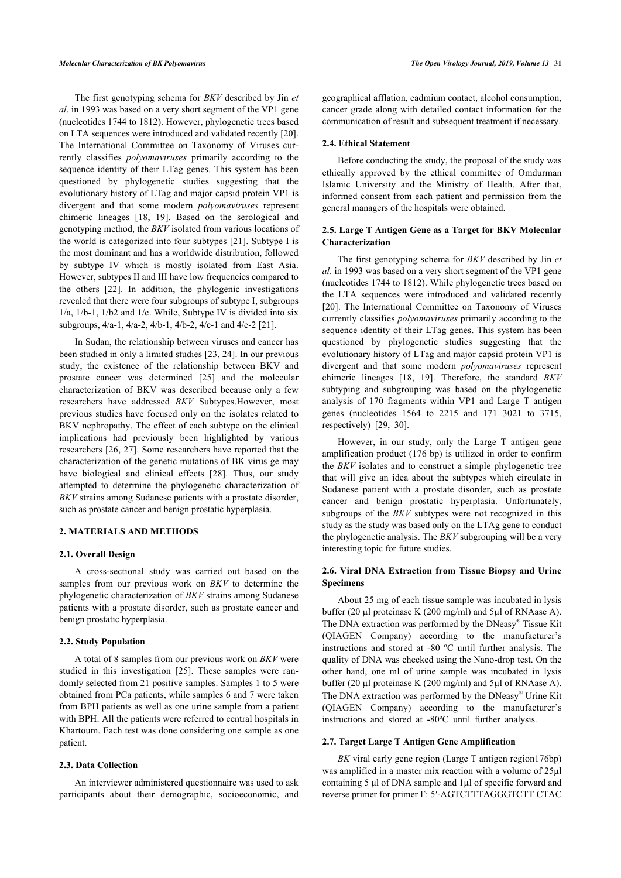#### *Molecular Characterization of BK Polyomavirus The Open Virology Journal, 2019, Volume 13* **31**

The first genotyping schema for *BKV* described by Jin *et al*. in 1993 was based on a very short segment of the VP1 gene (nucleotides 1744 to 1812). However, phylogenetic trees based on LTA sequences were introduced and validated recently [[20](#page-8-8)]. The International Committee on Taxonomy of Viruses currently classifies *polyomaviruses* primarily according to the sequence identity of their LTag genes. This system has been questioned by phylogenetic studies suggesting that the evolutionary history of LTag and major capsid protein VP1 is divergent and that some modern *polyomaviruses* represent chimeric lineages[[18,](#page-8-7) [19](#page-8-6)]. Based on the serological and genotyping method, the *BKV* isolated from various locations of the world is categorized into four subtypes [[21\]](#page-8-9). Subtype I is the most dominant and has a worldwide distribution, followed by subtype IV which is mostly isolated from East Asia. However, subtypes II and III have low frequencies compared to the others [\[22\]](#page-8-10). In addition, the phylogenic investigations revealed that there were four subgroups of subtype I, subgroups  $1/a$ ,  $1/b-1$ ,  $1/b2$  and  $1/c$ . While, Subtype IV is divided into six subgroups, 4/a-1, 4/a-2, 4/b-1, 4/b-2, 4/c-1 and 4/c-2 [[21\]](#page-8-9).

In Sudan, the relationship between viruses and cancer has been studied in only a limited studies [\[23](#page-8-11), [24](#page-8-12)]. In our previous study, the existence of the relationship between BKV and prostate cancer was determined[[25](#page-8-13)] and the molecular characterization of BKV was described because only a few researchers have addressed *BKV* Subtypes.However, most previous studies have focused only on the isolates related to BKV nephropathy. The effect of each subtype on the clinical implications had previously been highlighted by various researchers [\[26](#page-8-14), [27\]](#page-8-15). Some researchers have reported that the characterization of the genetic mutations of BK virus ge may have biological and clinical effects[[28](#page-8-16)]. Thus, our study attempted to determine the phylogenetic characterization of *BKV* strains among Sudanese patients with a prostate disorder, such as prostate cancer and benign prostatic hyperplasia.

#### **2. MATERIALS AND METHODS**

#### **2.1. Overall Design**

A cross-sectional study was carried out based on the samples from our previous work on *BKV* to determine the phylogenetic characterization of *BKV* strains among Sudanese patients with a prostate disorder, such as prostate cancer and benign prostatic hyperplasia.

# **2.2. Study Population**

A total of 8 samples from our previous work on *BKV* were studied in this investigation[[25](#page-8-13)]. These samples were randomly selected from 21 positive samples. Samples 1 to 5 were obtained from PCa patients, while samples 6 and 7 were taken from BPH patients as well as one urine sample from a patient with BPH. All the patients were referred to central hospitals in Khartoum. Each test was done considering one sample as one patient.

#### **2.3. Data Collection**

An interviewer administered questionnaire was used to ask participants about their demographic, socioeconomic, and geographical afflation, cadmium contact, alcohol consumption, cancer grade along with detailed contact information for the communication of result and subsequent treatment if necessary.

# **2.4. Ethical Statement**

Before conducting the study, the proposal of the study was ethically approved by the ethical committee of Omdurman Islamic University and the Ministry of Health. After that, informed consent from each patient and permission from the general managers of the hospitals were obtained.

#### **2.5. Large T Antigen Gene as a Target for BKV Molecular Characterization**

The first genotyping schema for *BKV* described by Jin *et al*. in 1993 was based on a very short segment of the VP1 gene (nucleotides 1744 to 1812). While phylogenetic trees based on the LTA sequences were introduced and validated recently [[20](#page-8-8)]. The International Committee on Taxonomy of Viruses currently classifies *polyomaviruses* primarily according to the sequence identity of their LTag genes. This system has been questioned by phylogenetic studies suggesting that the evolutionary history of LTag and major capsid protein VP1 is divergent and that some modern *polyomaviruses* represent chimeric lineages[[18](#page-8-7), [19](#page-8-6)]. Therefore, the standard *BKV* subtyping and subgrouping was based on the phylogenetic analysis of 170 fragments within VP1 and Large T antigen genes (nucleotides 1564 to 2215 and 171 3021 to 3715, respectively)[[29,](#page-8-17) [30](#page-8-18)].

However, in our study, only the Large T antigen gene amplification product (176 bp) is utilized in order to confirm the *BKV* isolates and to construct a simple phylogenetic tree that will give an idea about the subtypes which circulate in Sudanese patient with a prostate disorder, such as prostate cancer and benign prostatic hyperplasia. Unfortunately, subgroups of the *BKV* subtypes were not recognized in this study as the study was based only on the LTAg gene to conduct the phylogenetic analysis. The *BKV* subgrouping will be a very interesting topic for future studies.

# **2.6. Viral DNA Extraction from Tissue Biopsy and Urine Specimens**

About 25 mg of each tissue sample was incubated in lysis buffer (20 ul proteinase K (200 mg/ml) and 5ul of RNAase A). The DNA extraction was performed by the DNeasy® Tissue Kit (QIAGEN Company) according to the manufacturer's instructions and stored at -80 ºC until further analysis. The quality of DNA was checked using the Nano-drop test. On the other hand, one ml of urine sample was incubated in lysis buffer (20 µl proteinase K (200 mg/ml) and 5µl of RNAase A). The DNA extraction was performed by the DNeasy® Urine Kit (QIAGEN Company) according to the manufacturer's instructions and stored at -80ºC until further analysis.

#### **2.7. Target Large T Antigen Gene Amplification**

*BK* viral early gene region (Large T antigen region176bp) was amplified in a master mix reaction with a volume of 25μl containing 5 μl of DNA sample and 1µl of specific forward and reverse primer for primer F: 5′-AGTCTTTAGGGTCTT CTAC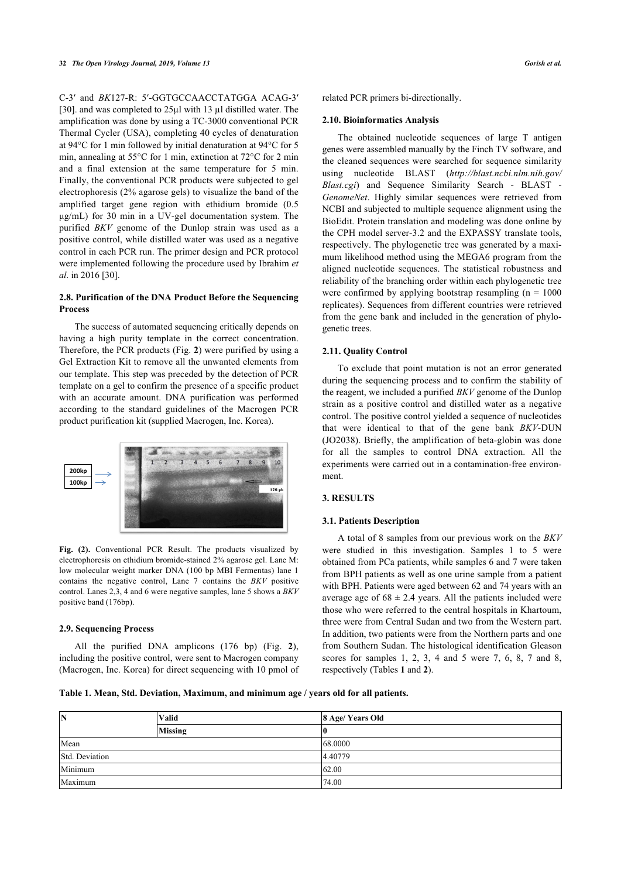C-3′ and *BK*127-R: 5′-GGTGCCAACCTATGGA ACAG-3′ [[30\]](#page-8-18). and was completed to 25µl with 13 µl distilled water. The amplification was done by using a TC-3000 conventional PCR Thermal Cycler (USA), completing 40 cycles of denaturation at 94°C for 1 min followed by initial denaturation at 94°C for 5 min, annealing at 55°C for 1 min, extinction at 72°C for 2 min and a final extension at the same temperature for 5 min. Finally, the conventional PCR products were subjected to gel electrophoresis (2% agarose gels) to visualize the band of the amplified target gene region with ethidium bromide (0.5 μg/mL) for 30 min in a UV-gel documentation system. The purified *BKV* genome of the Dunlop strain was used as a positive control, while distilled water was used as a negative control in each PCR run. The primer design and PCR protocol were implemented following the procedure used by Ibrahim *et al*. in 2016 [[30\]](#page-8-18).

# **2.8. Purification of the DNA Product Before the Sequencing Process**

The success of automated sequencing critically depends on having a high purity template in the correct concentration. Therefore, the PCR products (Fig. **[2](#page--1-0)**) were purified by using a Gel Extraction Kit to remove all the unwanted elements from our template. This step was preceded by the detection of PCR template on a gel to confirm the presence of a specific product with an accurate amount. DNA purification was performed according to the standard guidelines of the Macrogen PCR product purification kit (supplied Macrogen, Inc. Korea).



**Fig. (2).** Conventional PCR Result. The products visualized by electrophoresis on ethidium bromide-stained 2% agarose gel. Lane M: low molecular weight marker DNA (100 bp MBI Fermentas) lane 1 contains the negative control, Lane 7 contains the *BKV* positive control. Lanes 2,3, 4 and 6 were negative samples, lane 5 shows a *BKV* positive band (176bp).

#### **2.9. Sequencing Process**

All the purified DNA amplicons (176 bp) (Fig.**2**), including the positive control, were sent to Macrogen company (Macrogen, Inc. Korea) for direct sequencing with 10 pmol of related PCR primers bi-directionally.

#### **2.10. Bioinformatics Analysis**

The obtained nucleotide sequences of large T antigen genes were assembled manually by the Finch TV software, and the cleaned sequences were searched for sequence similarity using nucleotide BLAST (*[http://blast.ncbi.nlm.nih.gov/](http://blast.ncbi.nlm.nih.gov/Blast.cgi) [Blast.cgi](http://blast.ncbi.nlm.nih.gov/Blast.cgi)*) and Sequence Similarity Search - BLAST - *GenomeNet*. Highly similar sequences were retrieved from NCBI and subjected to multiple sequence alignment using the BioEdit. Protein translation and modeling was done online by the CPH model server-3.2 and the EXPASSY translate tools, respectively. The phylogenetic tree was generated by a maximum likelihood method using the MEGA6 program from the aligned nucleotide sequences. The statistical robustness and reliability of the branching order within each phylogenetic tree were confirmed by applying bootstrap resampling  $(n = 1000$ replicates). Sequences from different countries were retrieved from the gene bank and included in the generation of phylogenetic trees.

# **2.11. Quality Control**

To exclude that point mutation is not an error generated during the sequencing process and to confirm the stability of the reagent, we included a purified *BKV* genome of the Dunlop strain as a positive control and distilled water as a negative control. The positive control yielded a sequence of nucleotides that were identical to that of the gene bank *BKV*-DUN (JO2038). Briefly, the amplification of beta-globin was done for all the samples to control DNA extraction. All the experiments were carried out in a contamination-free environment.

# **3. RESULTS**

# **3.1. Patients Description**

A total of 8 samples from our previous work on the *BKV* were studied in this investigation. Samples 1 to 5 were obtained from PCa patients, while samples 6 and 7 were taken from BPH patients as well as one urine sample from a patient with BPH. Patients were aged between 62 and 74 years with an average age of  $68 \pm 2.4$  years. All the patients included were those who were referred to the central hospitals in Khartoum, three were from Central Sudan and two from the Western part. In addition, two patients were from the Northern parts and one from Southern Sudan. The histological identification Gleason scores for samples 1, 2, 3, 4 and 5 were 7, 6, 8, 7 and 8, respectively (Tables **[1](#page--1-0)** and **[2](#page--1-0)**).

**Table 1. Mean, Std. Deviation, Maximum, and minimum age / years old for all patients.**

| IN             | <b>Valid</b>   | 8 Age/ Years Old |  |  |  |  |  |
|----------------|----------------|------------------|--|--|--|--|--|
|                | <b>Missing</b> |                  |  |  |  |  |  |
| Mean           |                | 68.0000          |  |  |  |  |  |
| Std. Deviation |                | 4.40779          |  |  |  |  |  |
| Minimum        |                | 62.00            |  |  |  |  |  |
| Maximum        |                | 74.00            |  |  |  |  |  |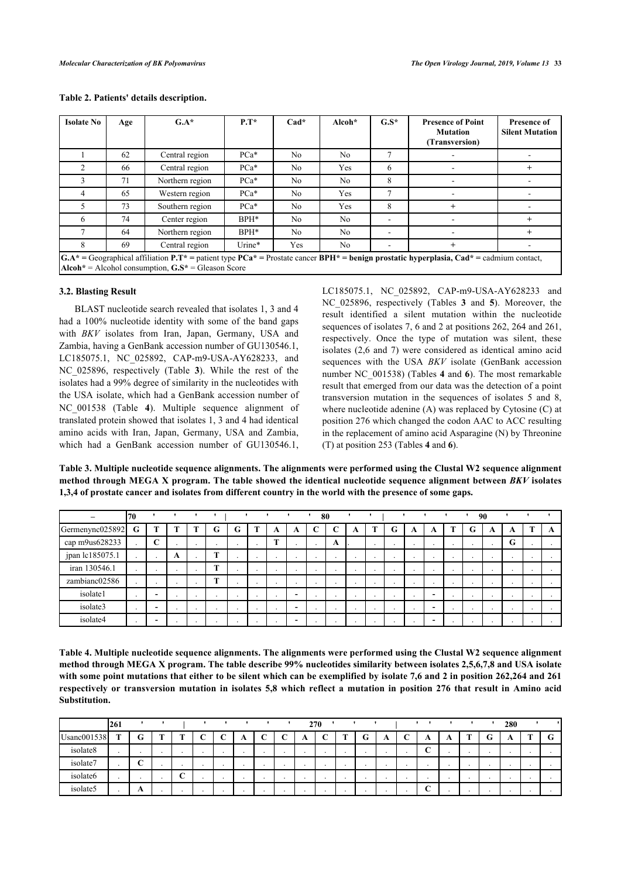| <b>Isolate No</b> | Age | $G.A^*$                                                | $P.T^*$ | $Cad*$ | $Alcoh*$ | $G.S^*$ | <b>Presence of Point</b><br><b>Mutation</b><br>(Transversion)                                                                             | <b>Presence of</b><br><b>Silent Mutation</b> |
|-------------------|-----|--------------------------------------------------------|---------|--------|----------|---------|-------------------------------------------------------------------------------------------------------------------------------------------|----------------------------------------------|
|                   | 62  | Central region                                         | $PCa*$  | No.    | No       |         |                                                                                                                                           |                                              |
|                   | 66  | Central region                                         | $PCa*$  | No.    | Yes      | 6       |                                                                                                                                           | $\ddot{}$                                    |
|                   | 71  | Northern region                                        | $PCa*$  | No.    | No       | 8       |                                                                                                                                           |                                              |
| 4                 | 65  | Western region                                         | $PCa*$  | No.    | Yes      | 7       |                                                                                                                                           |                                              |
|                   | 73  | Southern region                                        | $PCa*$  | No.    | Yes      | 8       | $\overline{+}$                                                                                                                            |                                              |
| 6                 | 74  | Center region                                          | $BPH*$  | No.    | No       |         |                                                                                                                                           | $\pm$                                        |
|                   | 64  | Northern region                                        | BPH*    | No.    | No       |         |                                                                                                                                           | $\ddot{}$                                    |
|                   | 69  | Central region                                         | Urine*  | Yes    | No       |         |                                                                                                                                           |                                              |
|                   |     | $Alcoh^* = Alcohol consumption, G.S^* = Gleason Score$ |         |        |          |         | $G.A*$ = Geographical affiliation P.T* = patient type PCa* = Prostate cancer BPH* = benign prostatic hyperplasia, Cad* = cadmium contact, |                                              |

# **Table 2. Patients' details description.**

# **3.2. Blasting Result**

BLAST nucleotide search revealed that isolates 1, 3 and 4 had a 100% nucleotide identity with some of the band gaps with *BKV* isolates from Iran, Japan, Germany, USA and Zambia, having a GenBank accession number of GU130546.1, LC185075.1, NC\_025892, CAP-m9-USA-AY628233, and NC\_025896, respectively (Table**3**). While the rest of the isolates had a 99% degree of similarity in the nucleotides with the USA isolate, which had a GenBank accession number of NC\_001538 (Table**4**). Multiple sequence alignment of translated protein showed that isolates 1, 3 and 4 had identical amino acids with Iran, Japan, Germany, USA and Zambia, which had a GenBank accession number of GU130546.1,

LC185075.1, NC\_025892, CAP-m9-USA-AY628233 and NC\_025896, respectively (Tables**3** and**5**). Moreover, the result identified a silent mutation within the nucleotide sequences of isolates 7, 6 and 2 at positions 262, 264 and 261, respectively. Once the type of mutation was silent, these isolates (2,6 and 7) were considered as identical amino acid sequences with the USA *BKV* isolate (GenBank accession number NC\_001538) (Tables **[4](#page--1-0)** and **[6](#page--1-0)**). The most remarkable result that emerged from our data was the detection of a point transversion mutation in the sequences of isolates 5 and 8, where nucleotide adenine (A) was replaced by Cytosine (C) at position 276 which changed the codon AAC to ACC resulting in the replacement of amino acid Asparagine (N) by Threonine (T) at position 253 (Tables **[4](#page--1-0)** and **[6](#page--1-0)**).

**Table 3. Multiple nucleotide sequence alignments. The alignments were performed using the Clustal W2 sequence alignment method through MEGA X program. The table showed the identical nucleotide sequence alignment between** *BKV* **isolates 1,3,4 of prostate cancer and isolates from different country in the world with the presence of some gaps.**

|                 | 70                       |                 |                          |                          |                          |                          |                          | $\mathbf{r}$<br>$\mathbf{r}$ |        | 80                       |         |                          |        |                          |                          | $\mathbf{r}$<br>$\cdot$  |                          |        | 90                       |                          |                          |         |
|-----------------|--------------------------|-----------------|--------------------------|--------------------------|--------------------------|--------------------------|--------------------------|------------------------------|--------|--------------------------|---------|--------------------------|--------|--------------------------|--------------------------|--------------------------|--------------------------|--------|--------------------------|--------------------------|--------------------------|---------|
| Germenync025892 | G                        |                 |                          |                          | G                        | G                        |                          | A                            | A      |                          |         | A                        |        | G                        | A                        | A                        |                          | G      | A                        | A                        |                          | A       |
| cap m9us628233  |                          | $\sqrt{ }$<br>◡ |                          |                          | $\sim$                   | $\overline{\phantom{a}}$ |                          | T                            |        | $\sim$                   | A       |                          | $\sim$ |                          |                          |                          |                          |        | ٠.                       | G                        |                          |         |
| jpan lc185075.1 |                          |                 | A                        | $\sim$                   | m                        | $\overline{\phantom{a}}$ | $\sim$                   | $\bullet$                    | $\sim$ | $\cdot$                  | $\cdot$ | $\sim$                   | $\sim$ |                          | $\overline{\phantom{a}}$ | $\overline{\phantom{a}}$ | $\overline{\phantom{a}}$ | $\sim$ | $\cdot$                  | $\sim$                   | $\overline{\phantom{a}}$ | $\cdot$ |
| iran 130546.1   | $\overline{\phantom{a}}$ | $\sim$          | $\overline{\phantom{a}}$ | $\sim$                   | m                        |                          | $\overline{\phantom{a}}$ | $\overline{\phantom{a}}$     | $\sim$ | $\sim$                   | $\sim$  | $\overline{\phantom{a}}$ | $\sim$ | $\overline{\phantom{a}}$ | $\overline{\phantom{a}}$ | $\sim$                   | $\cdot$                  | $\sim$ | $\overline{\phantom{a}}$ | $\overline{\phantom{a}}$ | ٠.                       | $\sim$  |
| zambianc02586   |                          | $\sim$          | $\overline{\phantom{a}}$ | $\overline{\phantom{a}}$ |                          |                          | $\overline{\phantom{a}}$ | $\overline{\phantom{a}}$     | $\sim$ | $\cdot$                  | $\cdot$ | $\overline{\phantom{a}}$ | $\sim$ | $\overline{\phantom{a}}$ | $\overline{\phantom{a}}$ | $\sim$                   | $\overline{\phantom{a}}$ | $\sim$ | $\overline{\phantom{a}}$ | $\overline{\phantom{a}}$ | $\bullet$                | $\cdot$ |
| isolate1        | $\sim$                   | -               |                          |                          | $\overline{\phantom{a}}$ |                          | $\overline{\phantom{a}}$ | $\overline{\phantom{a}}$     | -      | $\sim$                   | $\sim$  | $\overline{\phantom{a}}$ | $\sim$ |                          | $\blacksquare$           | -                        |                          |        | $\overline{\phantom{a}}$ |                          |                          |         |
| isolate3        | $\sim$                   | -               |                          | $\cdot$                  | $\overline{\phantom{a}}$ | $\overline{\phantom{a}}$ | $\overline{\phantom{a}}$ | $\overline{\phantom{a}}$     | -      | $\sim$                   | $\sim$  | $\overline{\phantom{a}}$ |        |                          |                          | -                        |                          |        | $\overline{\phantom{a}}$ |                          | $\overline{\phantom{a}}$ |         |
| isolate4        | $\sim$                   | -               | $\overline{\phantom{a}}$ | $\overline{\phantom{a}}$ | $\sim$                   | $\overline{\phantom{a}}$ | $\sim$                   | $\overline{\phantom{a}}$     | -      | $\overline{\phantom{a}}$ | $\sim$  | $\overline{\phantom{a}}$ |        |                          | $\overline{\phantom{a}}$ | $\overline{\phantom{0}}$ |                          | $\sim$ | ٠.                       |                          | $\overline{\phantom{a}}$ |         |

**Table 4. Multiple nucleotide sequence alignments. The alignments were performed using the Clustal W2 sequence alignment method through MEGA X program. The table describe 99% nucleotides similarity between isolates 2,5,6,7,8 and USA isolate with some point mutations that either to be silent which can be exemplified by isolate 7,6 and 2 in position 262,264 and 261 respectively or transversion mutation in isolates 5,8 which reflect a mutation in position 276 that result in Amino acid Substitution.**

|                      | 261        |                          |    |                   |                          |        |     |   |   |   | 270 |            |   |                          |   |              |   |   | 280 |    |  |
|----------------------|------------|--------------------------|----|-------------------|--------------------------|--------|-----|---|---|---|-----|------------|---|--------------------------|---|--------------|---|---|-----|----|--|
| <b>Usanc001538</b>   | <b>CEO</b> | G                        | -- | <b>CONTRACTOR</b> | ◡                        | ∽<br>◡ | A   | ◡ | ◡ | A |     | <b>CEN</b> | u | A                        | ◡ | $\mathbf{r}$ | A | v | Ð   | -- |  |
| isolate8             |            | $\overline{\phantom{a}}$ |    |                   | $\overline{\phantom{a}}$ |        | . . |   |   |   |     |            |   | $\overline{\phantom{a}}$ |   | ∼<br>◡       |   |   |     |    |  |
| isolate7             |            | ⌒<br>◡                   |    |                   |                          |        |     |   |   |   |     |            |   |                          |   |              |   |   |     |    |  |
| isolate <sub>6</sub> |            |                          |    | ⌒<br>◡            |                          |        |     |   |   |   |     |            |   |                          |   |              |   |   |     |    |  |
| isolate5             |            | A                        |    |                   |                          |        |     |   |   |   |     |            |   | $\overline{\phantom{a}}$ |   |              |   |   |     |    |  |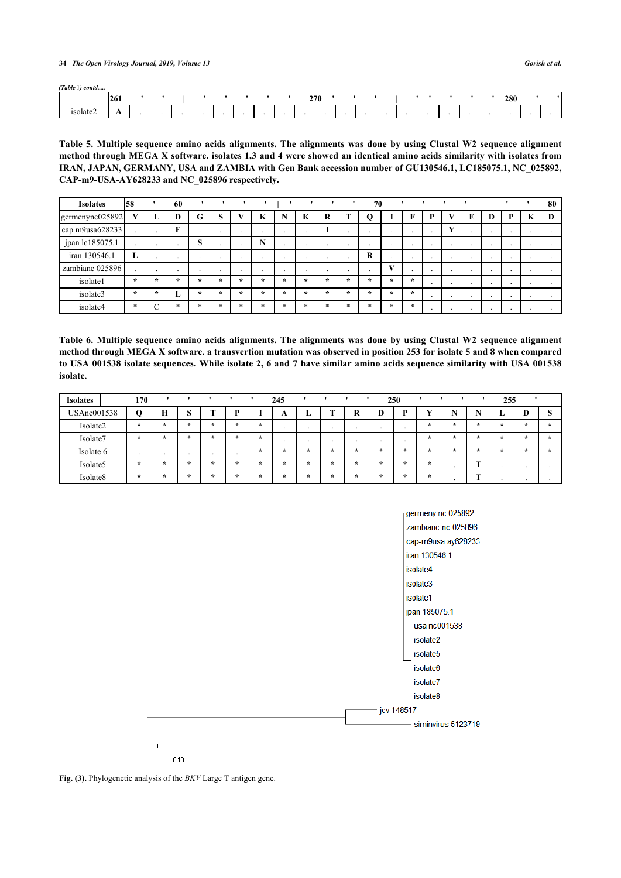*(Table ) contd.....*

|                  | 261      |  |  |  |  | 270 |  |  |  |  | 280 |  |
|------------------|----------|--|--|--|--|-----|--|--|--|--|-----|--|
| isolate?<br>1001 | л<br>. . |  |  |  |  |     |  |  |  |  |     |  |

**Table 5. Multiple sequence amino acids alignments. The alignments was done by using Clustal W2 sequence alignment method through MEGA X software. isolates 1,3 and 4 were showed an identical amino acids similarity with isolates from IRAN, JAPAN, GERMANY, USA and ZAMBIA with Gen Bank accession number of GU130546.1, LC185075.1, NC\_025892, CAP-m9-USA-AY628233 and NC\_025896 respectively.**

| <b>Isolates</b>                         | 58      |                          | 60       |             | $\cdot$                  |                          |                          |                          |         | $\mathbf{r}$ $\mathbf{r}$ |                          | 70                       |              | $\cdot$                  | $\cdots$                 |                          |                |                          |                          | 80 |
|-----------------------------------------|---------|--------------------------|----------|-------------|--------------------------|--------------------------|--------------------------|--------------------------|---------|---------------------------|--------------------------|--------------------------|--------------|--------------------------|--------------------------|--------------------------|----------------|--------------------------|--------------------------|----|
| $\left  \text{germenync025892} \right $ | Y       | ≖                        |          | ŧτ          | $\sim$<br>D.             |                          | K                        | N                        | K       | R                         |                          | O                        |              |                          |                          |                          | E              | D                        | K                        | ш  |
| cap m9usa628233                         |         | $\sim$                   | шn.      |             |                          |                          |                          | $\overline{\phantom{a}}$ |         |                           |                          |                          |              |                          |                          | $\mathbf{V}$             |                |                          |                          |    |
| jpan lc185075.1                         |         | $\overline{\phantom{a}}$ |          | $\sim$<br>O | $\overline{\phantom{a}}$ |                          | N                        |                          |         |                           | $\overline{\phantom{a}}$ | $\overline{\phantom{a}}$ |              |                          |                          | $\overline{\phantom{a}}$ | $\blacksquare$ | $\overline{\phantom{a}}$ | $\cdot$                  |    |
| iran 130546.1                           | L       |                          |          | $\sim$      | $\overline{\phantom{a}}$ | $\sim$                   | $\overline{\phantom{a}}$ | $\overline{\phantom{a}}$ |         | $\sim$                    |                          | R                        |              | $\overline{\phantom{a}}$ | $\overline{\phantom{a}}$ | ٠.                       | $\cdot$        | $\sim$                   | $\sim$                   |    |
| zambiane 025896                         |         | $\ddot{\phantom{1}}$     |          |             | $\overline{\phantom{a}}$ | $\overline{\phantom{a}}$ | $\overline{\phantom{a}}$ | $\overline{\phantom{a}}$ |         |                           |                          | $\overline{\phantom{a}}$ | $\mathbf{X}$ |                          |                          | $\overline{\phantom{a}}$ | $\cdot$        | $\overline{\phantom{a}}$ | $\cdot$                  |    |
| isolate1                                | $\star$ | $\star$                  | $\Delta$ | $\star$     | $\star$                  | $\star$                  | $\star$                  | $\star$                  | $\star$ | $\star$                   | $\star$                  | $\star$                  | $\star$      | $\star$                  |                          | $\overline{\phantom{a}}$ | $\cdot$        | $\overline{\phantom{a}}$ | $\overline{\phantom{a}}$ |    |
| isolate3                                | $\star$ | $\star$                  | L.       | $\star$     | $\star$                  | $\pm$                    | $\star$                  | $\star$                  | $\star$ | $\star$                   | $\star$                  | $\star$                  | $\star$      | $\star$                  | $\overline{\phantom{a}}$ | ٠.                       | $\cdot$        | $\sim$                   | $\sim$                   |    |
| isolate4                                | $\ast$  | $\curvearrowright$<br>◡  | $\ast$   |             | $\ast$                   | $\ast$                   | $\ast$                   | $\ast$                   | $\ast$  | $\ast$                    | $\ast$                   | *                        | $\ast$       | $\ast$                   |                          |                          |                |                          |                          |    |

**Table 6. Multiple sequence amino acids alignments. The alignments was done by using Clustal W2 sequence alignment method through MEGA X software. a transvertion mutation was observed in position 253 for isolate 5 and 8 when compared to USA 001538 isolate sequences. While isolate 2, 6 and 7 have similar amino acids sequence similarity with USA 001538 isolate.**

| <b>Isolates</b>    | 170     |         |         |         |         |         | 245     |         |                          |         |         | 250                      |         |         |                  | 255     |         |         |
|--------------------|---------|---------|---------|---------|---------|---------|---------|---------|--------------------------|---------|---------|--------------------------|---------|---------|------------------|---------|---------|---------|
| <b>USAnc001538</b> | O       | н       |         |         |         |         | A       | ∸       | men.                     | R       |         |                          |         |         | N                | ш.      |         |         |
| Isolate2           | $\star$ | ÷       | $\star$ | $\star$ | $\star$ | $\star$ |         | . .     | $\overline{\phantom{a}}$ | . .     |         | $\overline{\phantom{a}}$ | $\star$ | $\star$ | $\star$          | $\star$ | $\star$ | $\star$ |
| Isolate7           | $\star$ | $\star$ | $\star$ | $\star$ | $\star$ | $\star$ | . .     | . .     | $\overline{\phantom{a}}$ |         |         |                          | $\star$ | $\star$ | $\star$          | ÷       | $\star$ | $\star$ |
| Isolate 6          | $\sim$  |         |         |         | . .     | $\star$ | $\star$ | ÷       | ÷                        | $\star$ | $\star$ | $\star$                  | $\star$ | $\star$ | $\star$          | ÷       | $\star$ | $\star$ |
| Isolate5           | $\star$ | ÷       | $\star$ | $\star$ | $\star$ | $\star$ | $\star$ | $\star$ | $\star$                  | $\star$ | ÷       | $\star$                  | $\star$ |         | <b>CENT</b>      |         | $\sim$  |         |
| Isolate8           | $\star$ | $\star$ | $\star$ | $\star$ | $\star$ | $\star$ | $\star$ | $\star$ | $\star$                  | $\star$ | $\star$ | $\star$                  | $\star$ |         | <b>CONTINUES</b> |         |         |         |



**Fig. (3).** Phylogenetic analysis of the *BKV* Large T antigen gene.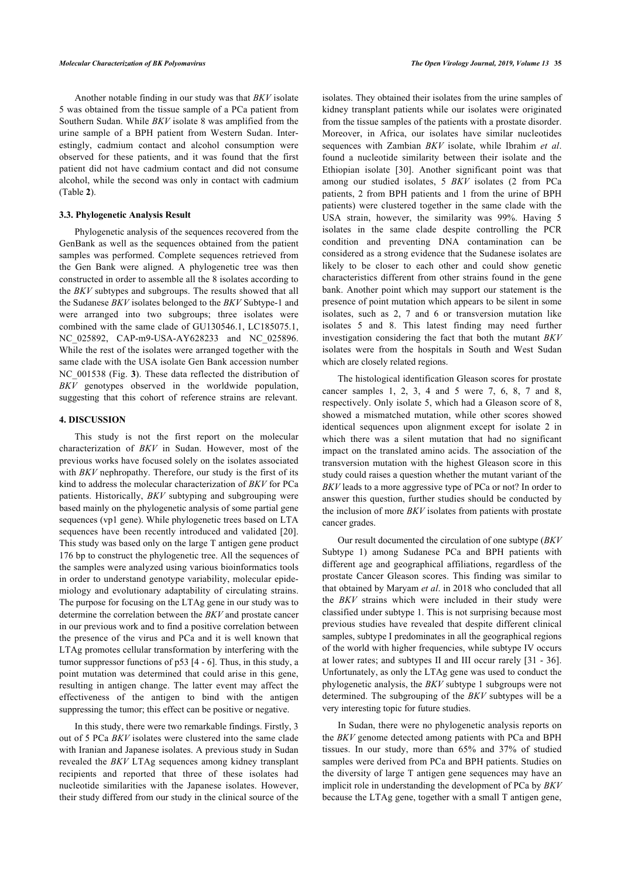Another notable finding in our study was that *BKV* isolate 5 was obtained from the tissue sample of a PCa patient from Southern Sudan. While *BKV* isolate 8 was amplified from the urine sample of a BPH patient from Western Sudan. Interestingly, cadmium contact and alcohol consumption were observed for these patients, and it was found that the first patient did not have cadmium contact and did not consume alcohol, while the second was only in contact with cadmium (Table **[2](#page--1-0)**).

#### **3.3. Phylogenetic Analysis Result**

Phylogenetic analysis of the sequences recovered from the GenBank as well as the sequences obtained from the patient samples was performed. Complete sequences retrieved from the Gen Bank were aligned. A phylogenetic tree was then constructed in order to assemble all the 8 isolates according to the *BKV* subtypes and subgroups. The results showed that all the Sudanese *BKV* isolates belonged to the *BKV* Subtype-1 and were arranged into two subgroups; three isolates were combined with the same clade of GU130546.1, LC185075.1, NC\_025892, CAP-m9-USA-AY628233 and NC\_025896. While the rest of the isolates were arranged together with the same clade with the USA isolate Gen Bank accession number NC\_001538 (Fig. **[3](#page--1-0)**). These data reflected the distribution of *BKV* genotypes observed in the worldwide population, suggesting that this cohort of reference strains are relevant.

# **4. DISCUSSION**

This study is not the first report on the molecular characterization of *BKV* in Sudan. However, most of the previous works have focused solely on the isolates associated with *BKV* nephropathy. Therefore, our study is the first of its kind to address the molecular characterization of *BKV* for PCa patients. Historically, *BKV* subtyping and subgrouping were based mainly on the phylogenetic analysis of some partial gene sequences (vp1 gene). While phylogenetic trees based on LTA sequences have been recently introduced and validated [[20\]](#page-8-8). This study was based only on the large T antigen gene product 176 bp to construct the phylogenetic tree. All the sequences of the samples were analyzed using various bioinformatics tools in order to understand genotype variability, molecular epidemiology and evolutionary adaptability of circulating strains. The purpose for focusing on the LTAg gene in our study was to determine the correlation between the *BKV* and prostate cancer in our previous work and to find a positive correlation between the presence of the virus and PCa and it is well known that LTAg promotes cellular transformation by interfering with the tumor suppressor functions of p53 [\[4](#page-7-3) - [6](#page-7-5)]. Thus, in this study, a point mutation was determined that could arise in this gene, resulting in antigen change. The latter event may affect the effectiveness of the antigen to bind with the antigen suppressing the tumor; this effect can be positive or negative.

In this study, there were two remarkable findings. Firstly, 3 out of 5 PCa *BKV* isolates were clustered into the same clade with Iranian and Japanese isolates. A previous study in Sudan revealed the *BKV* LTAg sequences among kidney transplant recipients and reported that three of these isolates had nucleotide similarities with the Japanese isolates. However, their study differed from our study in the clinical source of the

isolates. They obtained their isolates from the urine samples of kidney transplant patients while our isolates were originated from the tissue samples of the patients with a prostate disorder. Moreover, in Africa, our isolates have similar nucleotides sequences with Zambian *BKV* isolate, while Ibrahim *et al*. found a nucleotide similarity between their isolate and the Ethiopian isolate [\[30](#page-8-18)]. Another significant point was that among our studied isolates, 5 *BKV* isolates (2 from PCa patients, 2 from BPH patients and 1 from the urine of BPH patients) were clustered together in the same clade with the USA strain, however, the similarity was 99%. Having 5 isolates in the same clade despite controlling the PCR condition and preventing DNA contamination can be considered as a strong evidence that the Sudanese isolates are likely to be closer to each other and could show genetic characteristics different from other strains found in the gene bank. Another point which may support our statement is the presence of point mutation which appears to be silent in some isolates, such as 2, 7 and 6 or transversion mutation like isolates 5 and 8. This latest finding may need further investigation considering the fact that both the mutant *BKV* isolates were from the hospitals in South and West Sudan which are closely related regions.

The histological identification Gleason scores for prostate cancer samples 1, 2, 3, 4 and 5 were 7, 6, 8, 7 and 8, respectively. Only isolate 5, which had a Gleason score of 8, showed a mismatched mutation, while other scores showed identical sequences upon alignment except for isolate 2 in which there was a silent mutation that had no significant impact on the translated amino acids. The association of the transversion mutation with the highest Gleason score in this study could raises a question whether the mutant variant of the *BKV* leads to a more aggressive type of PCa or not? In order to answer this question, further studies should be conducted by the inclusion of more *BKV* isolates from patients with prostate cancer grades.

Our result documented the circulation of one subtype (*BKV* Subtype 1) among Sudanese PCa and BPH patients with different age and geographical affiliations, regardless of the prostate Cancer Gleason scores. This finding was similar to that obtained by Maryam *et al*. in 2018 who concluded that all the *BKV* strains which were included in their study were classified under subtype 1. This is not surprising because most previous studies have revealed that despite different clinical samples, subtype I predominates in all the geographical regions of the world with higher frequencies, while subtype IV occurs at lower rates; and subtypes II and III occur rarely [[31](#page-8-0) - [36](#page-8-19)]. Unfortunately, as only the LTAg gene was used to conduct the phylogenetic analysis, the *BKV* subtype 1 subgroups were not determined. The subgrouping of the *BKV* subtypes will be a very interesting topic for future studies.

In Sudan, there were no phylogenetic analysis reports on the *BKV* genome detected among patients with PCa and BPH tissues. In our study, more than 65% and 37% of studied samples were derived from PCa and BPH patients. Studies on the diversity of large T antigen gene sequences may have an implicit role in understanding the development of PCa by *BKV* because the LTAg gene, together with a small T antigen gene,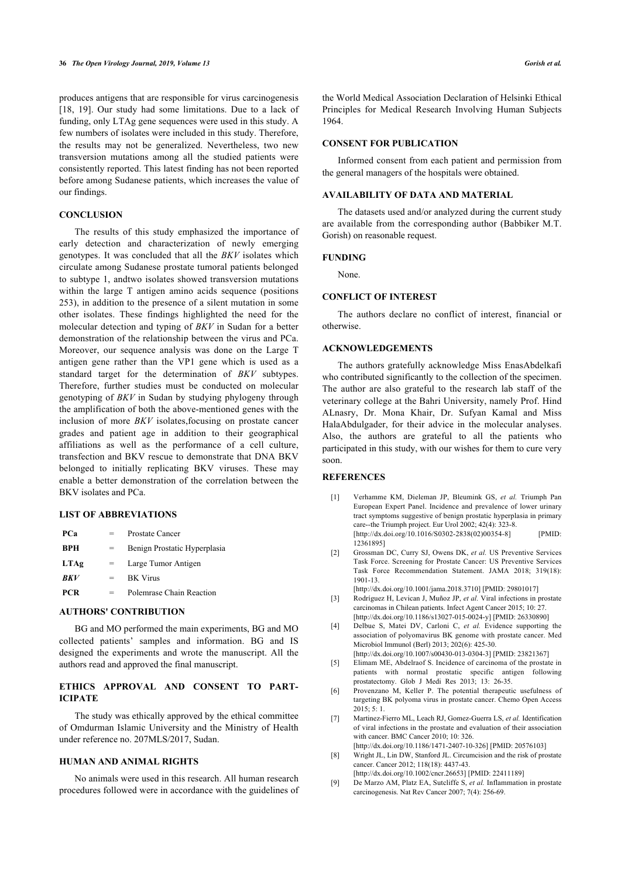produces antigens that are responsible for virus carcinogenesis [[18,](#page-8-7) [19](#page-8-6)]. Our study had some limitations. Due to a lack of funding, only LTAg gene sequences were used in this study. A few numbers of isolates were included in this study. Therefore, the results may not be generalized. Nevertheless, two new transversion mutations among all the studied patients were consistently reported. This latest finding has not been reported before among Sudanese patients, which increases the value of our findings.

# **CONCLUSION**

The results of this study emphasized the importance of early detection and characterization of newly emerging genotypes. It was concluded that all the *BKV* isolates which circulate among Sudanese prostate tumoral patients belonged to subtype 1, andtwo isolates showed transversion mutations within the large T antigen amino acids sequence (positions 253), in addition to the presence of a silent mutation in some other isolates. These findings highlighted the need for the molecular detection and typing of *BKV* in Sudan for a better demonstration of the relationship between the virus and PCa. Moreover, our sequence analysis was done on the Large T antigen gene rather than the VP1 gene which is used as a standard target for the determination of *BKV* subtypes. Therefore, further studies must be conducted on molecular genotyping of *BKV* in Sudan by studying phylogeny through the amplification of both the above-mentioned genes with the inclusion of more *BKV* isolates,focusing on prostate cancer grades and patient age in addition to their geographical affiliations as well as the performance of a cell culture, transfection and BKV rescue to demonstrate that DNA BKV belonged to initially replicating BKV viruses. These may enable a better demonstration of the correlation between the BKV isolates and PCa.

#### <span id="page-7-0"></span>**LIST OF ABBREVIATIONS**

<span id="page-7-1"></span>

| PCa         | Prostate Cancer              |
|-------------|------------------------------|
| BPH         | Benign Prostatic Hyperplasia |
| <b>LTAg</b> | Large Tumor Antigen          |
| RKV         | <b>BK</b> Virus              |
| <b>PCR</b>  | Polemrase Chain Reaction     |

# <span id="page-7-2"></span>**AUTHORS' CONTRIBUTION**

<span id="page-7-3"></span>BG and MO performed the main experiments, BG and MO collected patients' samples and information. BG and IS designed the experiments and wrote the manuscript. All the authors read and approved the final manuscript.

# <span id="page-7-5"></span><span id="page-7-4"></span>**ETHICS APPROVAL AND CONSENT TO PART-ICIPATE**

<span id="page-7-6"></span>The study was ethically approved by the ethical committee of Omdurman Islamic University and the Ministry of Health under reference no. 207MLS/2017, Sudan.

#### <span id="page-7-7"></span>**HUMAN AND ANIMAL RIGHTS**

<span id="page-7-8"></span>No animals were used in this research. All human research procedures followed were in accordance with the guidelines of the World Medical Association Declaration of Helsinki Ethical Principles for Medical Research Involving Human Subjects 1964.

# **CONSENT FOR PUBLICATION**

Informed consent from each patient and permission from the general managers of the hospitals were obtained.

#### **AVAILABILITY OF DATA AND MATERIAL**

The datasets used and/or analyzed during the current study are available from the corresponding author (Babbiker M.T. Gorish) on reasonable request.

#### **FUNDING**

None.

# **CONFLICT OF INTEREST**

The authors declare no conflict of interest, financial or otherwise.

# **ACKNOWLEDGEMENTS**

The authors gratefully acknowledge Miss EnasAbdelkafi who contributed significantly to the collection of the specimen. The author are also grateful to the research lab staff of the veterinary college at the Bahri University, namely Prof. Hind ALnasry, Dr. Mona Khair, Dr. Sufyan Kamal and Miss HalaAbdulgader, for their advice in the molecular analyses. Also, the authors are grateful to all the patients who participated in this study, with our wishes for them to cure very soon.

#### **REFERENCES**

- [1] Verhamme KM, Dieleman JP, Bleumink GS, *et al.* Triumph Pan European Expert Panel. Incidence and prevalence of lower urinary tract symptoms suggestive of benign prostatic hyperplasia in primary care--the Triumph project. Eur Urol 2002; 42(4): 323-8. [\[http://dx.doi.org/10.1016/S0302-2838\(02\)00354-8](http://dx.doi.org/10.1016/S0302-2838(02)00354-8)] [PMID: [12361895\]](http://www.ncbi.nlm.nih.gov/pubmed/12361895)
- [2] Grossman DC, Curry SJ, Owens DK, *et al.* US Preventive Services Task Force. Screening for Prostate Cancer: US Preventive Services Task Force Recommendation Statement. JAMA 2018; 319(18): 1901-13.

[\[http://dx.doi.org/10.1001/jama.2018.3710\]](http://dx.doi.org/10.1001/jama.2018.3710) [PMID: [29801017](http://www.ncbi.nlm.nih.gov/pubmed/29801017)]

- [3] Rodríguez H, Levican J, Muñoz JP, *et al.* Viral infections in prostate carcinomas in Chilean patients. Infect Agent Cancer 2015; 10: 27. [\[http://dx.doi.org/10.1186/s13027-015-0024-y\]](http://dx.doi.org/10.1186/s13027-015-0024-y) [PMID: [26330890](http://www.ncbi.nlm.nih.gov/pubmed/26330890)]
- [4] Delbue S, Matei DV, Carloni C, et al. Evidence supporting the association of polyomavirus BK genome with prostate cancer. Med Microbiol Immunol (Berl) 2013; 202(6): 425-30. [\[http://dx.doi.org/10.1007/s00430-013-0304-3\]](http://dx.doi.org/10.1007/s00430-013-0304-3) [PMID: [23821367](http://www.ncbi.nlm.nih.gov/pubmed/23821367)]
- [5] Elimam ME, Abdelraof S. Incidence of carcinoma of the prostate in patients with normal prostatic specific antigen following prostatectomy. Glob J Medi Res 2013; 13: 26-35.
- [6] Provenzano M, Keller P. The potential therapeutic usefulness of targeting BK polyoma virus in prostate cancer. Chemo Open Access 2015; 5: 1.
- [7] Martinez-Fierro ML, Leach RJ, Gomez-Guerra LS, *et al.* Identification of viral infections in the prostate and evaluation of their association with cancer. BMC Cancer 2010; 10: 326. [\[http://dx.doi.org/10.1186/1471-2407-10-326\]](http://dx.doi.org/10.1186/1471-2407-10-326) [PMID: [20576103\]](http://www.ncbi.nlm.nih.gov/pubmed/20576103)
- [8] Wright JL, Lin DW, Stanford JL. Circumcision and the risk of prostate cancer. Cancer 2012; 118(18): 4437-43. [\[http://dx.doi.org/10.1002/cncr.26653\]](http://dx.doi.org/10.1002/cncr.26653) [PMID: [22411189](http://www.ncbi.nlm.nih.gov/pubmed/22411189)]
- [9] De Marzo AM, Platz EA, Sutcliffe S, *et al.* Inflammation in prostate carcinogenesis. Nat Rev Cancer 2007; 7(4): 256-69.